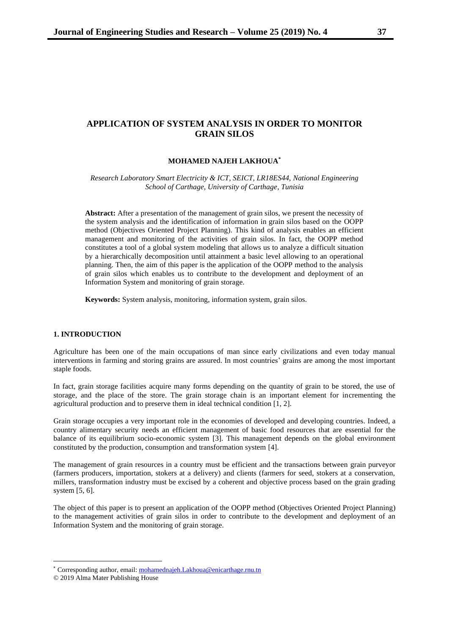# **APPLICATION OF SYSTEM ANALYSIS IN ORDER TO MONITOR GRAIN SILOS**

## **MOHAMED NAJEH LAKHOUA\***

*Research Laboratory Smart Electricity & ICT, SEICT, LR18ES44, National Engineering School of Carthage, University of Carthage, Tunisia*

**Abstract:** After a presentation of the management of grain silos, we present the necessity of the system analysis and the identification of information in grain silos based on the OOPP method (Objectives Oriented Project Planning). This kind of analysis enables an efficient management and monitoring of the activities of grain silos. In fact, the OOPP method constitutes a tool of a global system modeling that allows us to analyze a difficult situation by a hierarchically decomposition until attainment a basic level allowing to an operational planning. Then, the aim of this paper is the application of the OOPP method to the analysis of grain silos which enables us to contribute to the development and deployment of an Information System and monitoring of grain storage.

**Keywords:** System analysis, monitoring, information system, grain silos.

## **1. INTRODUCTION**

Agriculture has been one of the main occupations of man since early civilizations and even today manual interventions in farming and storing grains are assured. In most countries' grains are among the most important staple foods.

In fact, grain storage facilities acquire many forms depending on the quantity of grain to be stored, the use of storage, and the place of the store. The grain storage chain is an important element for incrementing the agricultural production and to preserve them in ideal technical condition [1, 2].

Grain storage occupies a very important role in the economies of developed and developing countries. Indeed, a country alimentary security needs an efficient management of basic food resources that are essential for the balance of its equilibrium socio-economic system [3]. This management depends on the global environment constituted by the production, consumption and transformation system [4].

The management of grain resources in a country must be efficient and the transactions between grain purveyor (farmers producers, importation, stokers at a delivery) and clients (farmers for seed, stokers at a conservation, millers, transformation industry must be excised by a coherent and objective process based on the grain grading system [5, 6].

The object of this paper is to present an application of the OOPP method (Objectives Oriented Project Planning) to the management activities of grain silos in order to contribute to the development and deployment of an Information System and the monitoring of grain storage.

<sup>\*</sup> Corresponding author, email[: mohamednajeh.Lakhoua@enicarthage.rnu.tn](mailto:mohamednajeh.Lakhoua@enicarthage.rnu.tn)

<sup>© 2019</sup> Alma Mater Publishing House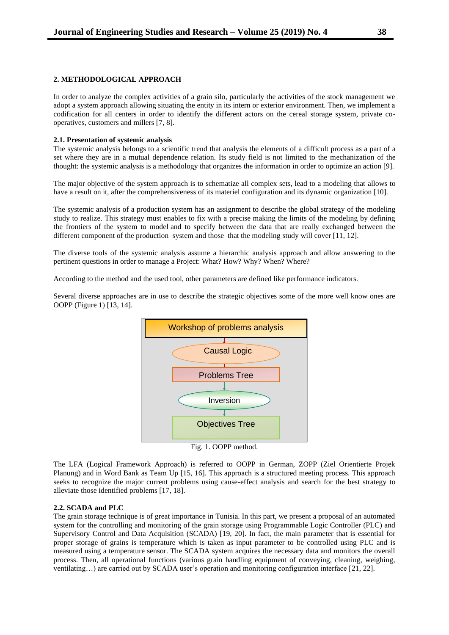## **2. METHODOLOGICAL APPROACH**

In order to analyze the complex activities of a grain silo, particularly the activities of the stock management we adopt a system approach allowing situating the entity in its intern or exterior environment. Then, we implement a codification for all centers in order to identify the different actors on the cereal storage system, private cooperatives, customers and millers [7, 8].

#### **2.1. Presentation of systemic analysis**

The systemic analysis belongs to a scientific trend that analysis the elements of a difficult process as a part of a set where they are in a mutual dependence relation. Its study field is not limited to the mechanization of the thought: the systemic analysis is a methodology that organizes the information in order to optimize an action [9].

The major objective of the system approach is to schematize all complex sets, lead to a modeling that allows to have a result on it, after the comprehensiveness of its materiel configuration and its dynamic organization [10].

The systemic analysis of a production system has an assignment to describe the global strategy of the modeling study to realize. This strategy must enables to fix with a precise making the limits of the modeling by defining the frontiers of the system to model and to specify between the data that are really exchanged between the different component of the production system and those that the modeling study will cover [11, 12].

The diverse tools of the systemic analysis assume a hierarchic analysis approach and allow answering to the pertinent questions in order to manage a Project: What? How? Why? When? Where?

According to the method and the used tool, other parameters are defined like performance indicators.

Several diverse approaches are in use to describe the strategic objectives some of the more well know ones are OOPP (Figure 1) [13, 14].



The LFA (Logical Framework Approach) is referred to OOPP in German, ZOPP (Ziel Orientierte Projek Planung) and in Word Bank as Team Up [15, 16]. This approach is a structured meeting process. This approach seeks to recognize the major current problems using cause-effect analysis and search for the best strategy to alleviate those identified problems [17, 18].

### **2.2. SCADA and PLC**

The grain storage technique is of great importance in Tunisia. In this part, we present a proposal of an automated system for the controlling and monitoring of the grain storage using Programmable Logic Controller (PLC) and Supervisory Control and Data Acquisition (SCADA) [19, 20]. In fact, the main parameter that is essential for proper storage of grains is temperature which is taken as input parameter to be controlled using PLC and is measured using a temperature sensor. The SCADA system acquires the necessary data and monitors the overall process. Then, all operational functions (various grain handling equipment of conveying, cleaning, weighing, ventilating…) are carried out by SCADA user's operation and monitoring configuration interface [21, 22].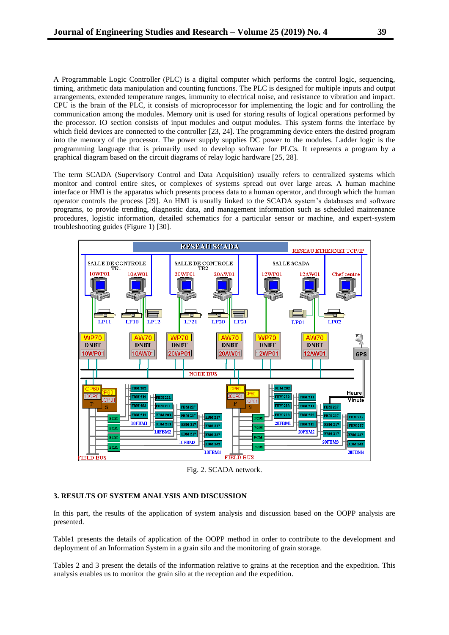A Programmable Logic Controller (PLC) is a digital computer which performs the control logic, sequencing, timing, arithmetic data manipulation and counting functions. The PLC is designed for multiple inputs and output arrangements, extended temperature ranges, immunity to electrical noise, and resistance to vibration and impact. CPU is the brain of the PLC, it consists of microprocessor for implementing the logic and for controlling the communication among the modules. Memory unit is used for storing results of logical operations performed by the processor. IO section consists of input modules and output modules. This system forms the interface by which field devices are connected to the controller [23, 24]. The programming device enters the desired program into the memory of the processor. The power supply supplies DC power to the modules. Ladder logic is the programming language that is primarily used to develop software for PLCs. It represents a program by a graphical diagram based on the circuit diagrams of relay logic hardware [25, 28].

The term SCADA (Supervisory Control and Data Acquisition) usually refers to centralized systems which monitor and control entire sites, or complexes of systems spread out over large areas. A human machine interface or HMI is the apparatus which presents process data to a human operator, and through which the human operator controls the process [29]. An HMI is usually linked to the SCADA system's databases and software programs, to provide trending, diagnostic data, and management information such as scheduled maintenance procedures, logistic information, detailed schematics for a particular sensor or machine, and expert-system troubleshooting guides (Figure 1) [30].



Fig. 2. SCADA network.

#### **3. RESULTS OF SYSTEM ANALYSIS AND DISCUSSION**

In this part, the results of the application of system analysis and discussion based on the OOPP analysis are presented.

Table1 presents the details of application of the OOPP method in order to contribute to the development and deployment of an Information System in a grain silo and the monitoring of grain storage.

Tables 2 and 3 present the details of the information relative to grains at the reception and the expedition. This analysis enables us to monitor the grain silo at the reception and the expedition.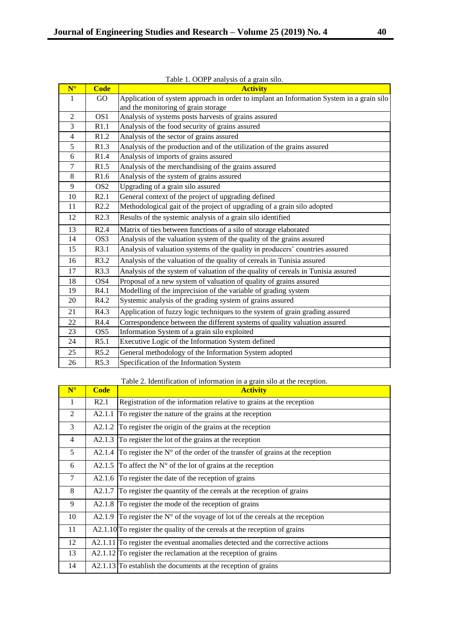| $N^{\circ}$    | <b>Code</b>     | <b>Activity</b>                                                                          |
|----------------|-----------------|------------------------------------------------------------------------------------------|
| 1              | GO              | Application of system approach in order to implant an Information System in a grain silo |
|                |                 | and the monitoring of grain storage                                                      |
| 2              | OS <sub>1</sub> | Analysis of systems posts harvests of grains assured                                     |
| 3              | R1.1            | Analysis of the food security of grains assured                                          |
| $\overline{4}$ | R1.2            | Analysis of the sector of grains assured                                                 |
| 5              | R1.3            | Analysis of the production and of the utilization of the grains assured                  |
| 6              | R1.4            | Analysis of imports of grains assured                                                    |
| $\tau$         | R1.5            | Analysis of the merchandising of the grains assured                                      |
| 8              | R1.6            | Analysis of the system of grains assured                                                 |
| 9              | OS <sub>2</sub> | Upgrading of a grain silo assured                                                        |
| 10             | R2.1            | General context of the project of upgrading defined                                      |
| 11             | R2.2            | Methodological gait of the project of upgrading of a grain silo adopted                  |
| 12             | R2.3            | Results of the systemic analysis of a grain silo identified                              |
| 13             | R2.4            | Matrix of ties between functions of a silo of storage elaborated                         |
| 14             | OS <sub>3</sub> | Analysis of the valuation system of the quality of the grains assured                    |
| 15             | R3.1            | Analysis of valuation systems of the quality in producers' countries assured             |
| 16             | R3.2            | Analysis of the valuation of the quality of cereals in Tunisia assured                   |
| 17             | R3.3            | Analysis of the system of valuation of the quality of cereals in Tunisia assured         |
| 18             | OS <sub>4</sub> | Proposal of a new system of valuation of quality of grains assured                       |
| 19             | R4.1            | Modelling of the imprecision of the variable of grading system                           |
| 20             | R4.2            | Systemic analysis of the grading system of grains assured                                |
| 21             | R4.3            | Application of fuzzy logic techniques to the system of grain grading assured             |
| 22             | R4.4            | Correspondence between the different systems of quality valuation assured                |
| 23             | OS5             | Information System of a grain silo exploited                                             |
| 24             | R5.1            | Executive Logic of the Information System defined                                        |
| 25             | R5.2            | General methodology of the Information System adopted                                    |
| 26             | R5.3            | Specification of the Information System                                                  |

Table 1. OOPP analysis of a grain silo.

# Table 2. Identification of information in a grain silo at the reception.

| $N^{\circ}$  | <b>Code</b>         | <b>Activity</b>                                                                            |
|--------------|---------------------|--------------------------------------------------------------------------------------------|
| $\mathbf{1}$ | R <sub>2.1</sub>    | Registration of the information relative to grains at the reception                        |
| 2            | A2.1.1              | To register the nature of the grains at the reception                                      |
| 3            |                     | A2.1.2 To register the origin of the grains at the reception                               |
| 4            |                     | A2.1.3 To register the lot of the grains at the reception                                  |
| 5            |                     | A2.1.4 To register the $N^{\circ}$ of the order of the transfer of grains at the reception |
| 6            |                     | A2.1.5 To affect the $N^{\circ}$ of the lot of grains at the reception                     |
| $\tau$       |                     | A2.1.6 To register the date of the reception of grains                                     |
| 8            | A <sub>2</sub> .1.7 | To register the quantity of the cereals at the reception of grains                         |
| 9            |                     | A2.1.8 To register the mode of the reception of grains                                     |
| 10           |                     | A2.1.9 To register the $N^{\circ}$ of the voyage of lot of the cereals at the reception    |
| 11           |                     | $A2.1.10$ To register the quality of the cereals at the reception of grains                |
| 12           |                     | $A2.1.11$ To register the eventual anomalies detected and the corrective actions           |
| 13           |                     | $A2.1.12$ To register the reclamation at the reception of grains                           |
| 14           |                     | $A2.1.13$ To establish the documents at the reception of grains                            |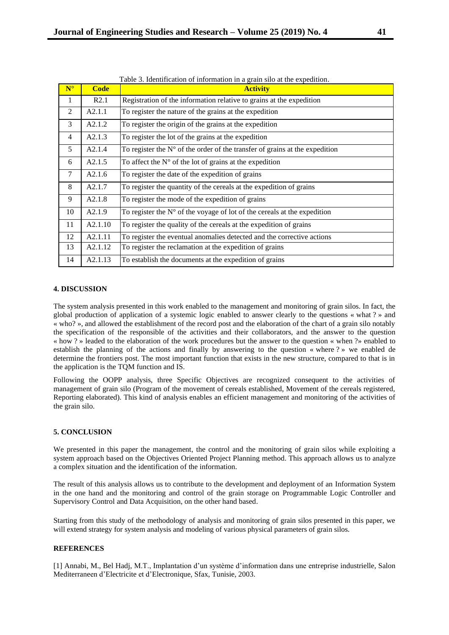| $N^{\circ}$ | <b>Code</b>        | <b>Activity</b>                                                                      |
|-------------|--------------------|--------------------------------------------------------------------------------------|
| 1           | R2.1               | Registration of the information relative to grains at the expedition                 |
| 2           | A2.1.1             | To register the nature of the grains at the expedition                               |
| 3           | A2.1.2             | To register the origin of the grains at the expedition                               |
| 4           | A2.1.3             | To register the lot of the grains at the expedition                                  |
| 5           | A <sub>2.1.4</sub> | To register the $N^{\circ}$ of the order of the transfer of grains at the expedition |
| 6           | A2.1.5             | To affect the $N^{\circ}$ of the lot of grains at the expedition                     |
| 7           | A2.1.6             | To register the date of the expedition of grains                                     |
| 8           | A2.1.7             | To register the quantity of the cereals at the expedition of grains                  |
| 9           | A2.1.8             | To register the mode of the expedition of grains                                     |
| 10          | A <sub>2.1.9</sub> | To register the $N^{\circ}$ of the voyage of lot of the cereals at the expedition    |
| 11          | A2.1.10            | To register the quality of the cereals at the expedition of grains                   |
| 12          | A2.1.11            | To register the eventual anomalies detected and the corrective actions               |
| 13          | A2.1.12            | To register the reclamation at the expedition of grains                              |
| 14          | A2.1.13            | To establish the documents at the expedition of grains                               |

## **4. DISCUSSION**

The system analysis presented in this work enabled to the management and monitoring of grain silos. In fact, the global production of application of a systemic logic enabled to answer clearly to the questions « what ? » and « who? », and allowed the establishment of the record post and the elaboration of the chart of a grain silo notably the specification of the responsible of the activities and their collaborators, and the answer to the question « how ? » leaded to the elaboration of the work procedures but the answer to the question « when ?» enabled to establish the planning of the actions and finally by answering to the question « where ? » we enabled de determine the frontiers post. The most important function that exists in the new structure, compared to that is in the application is the TQM function and IS.

Following the OOPP analysis, three Specific Objectives are recognized consequent to the activities of management of grain silo (Program of the movement of cereals established, Movement of the cereals registered, Reporting elaborated). This kind of analysis enables an efficient management and monitoring of the activities of the grain silo.

# **5. CONCLUSION**

We presented in this paper the management, the control and the monitoring of grain silos while exploiting a system approach based on the Objectives Oriented Project Planning method. This approach allows us to analyze a complex situation and the identification of the information.

The result of this analysis allows us to contribute to the development and deployment of an Information System in the one hand and the monitoring and control of the grain storage on Programmable Logic Controller and Supervisory Control and Data Acquisition, on the other hand based.

Starting from this study of the methodology of analysis and monitoring of grain silos presented in this paper, we will extend strategy for system analysis and modeling of various physical parameters of grain silos.

# **REFERENCES**

[1] Annabi, M., Bel Hadj, M.T., Implantation d'un système d'information dans une entreprise industrielle, Salon Mediterraneen d'Electricite et d'Electronique, Sfax, Tunisie, 2003.